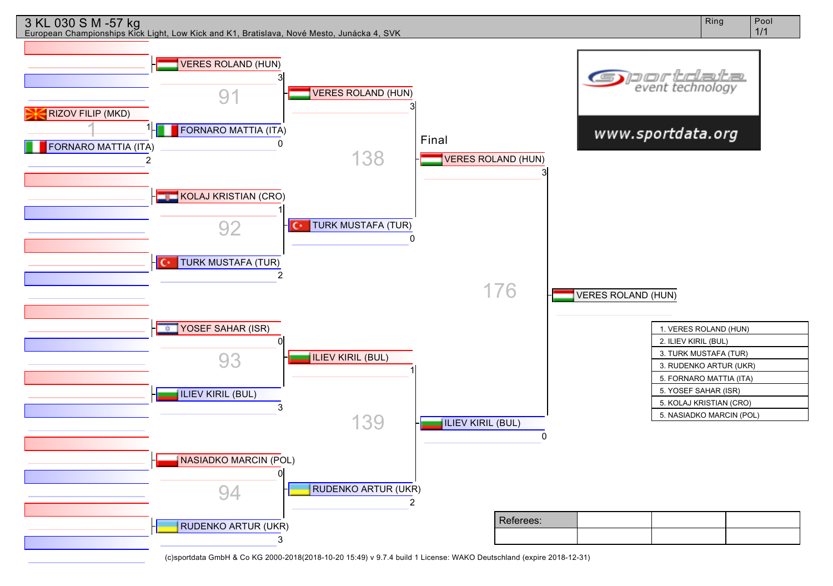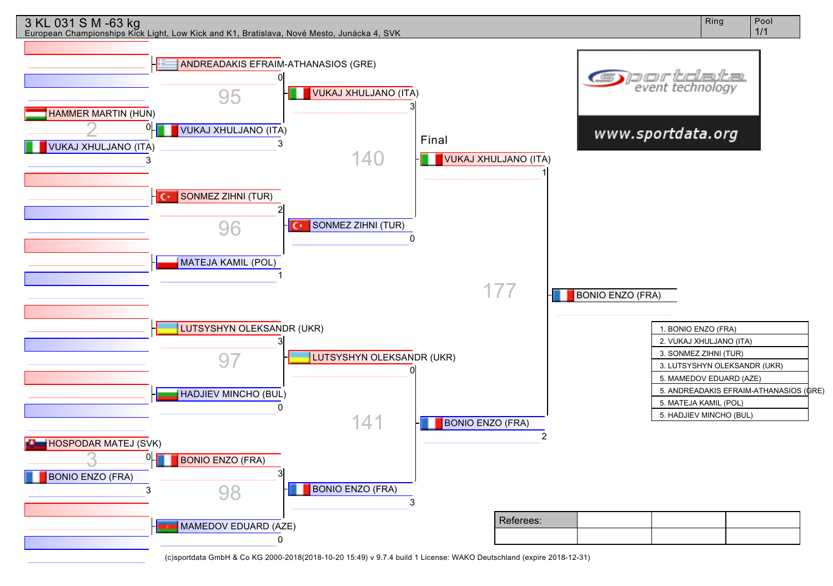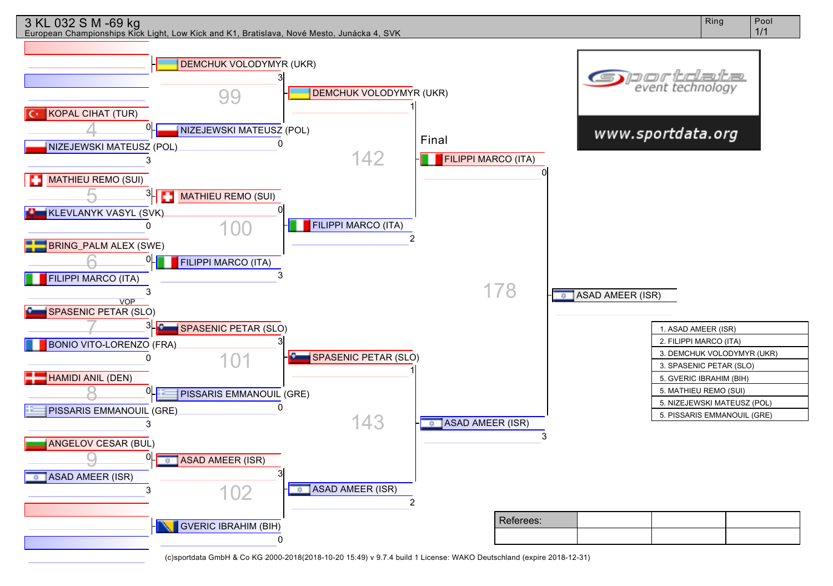## 3 KL 032 S M -69 kg

European Championships Kick Light, Low Kick and K1, Bratislava, Nové Mesto, Junácka 4, SVK

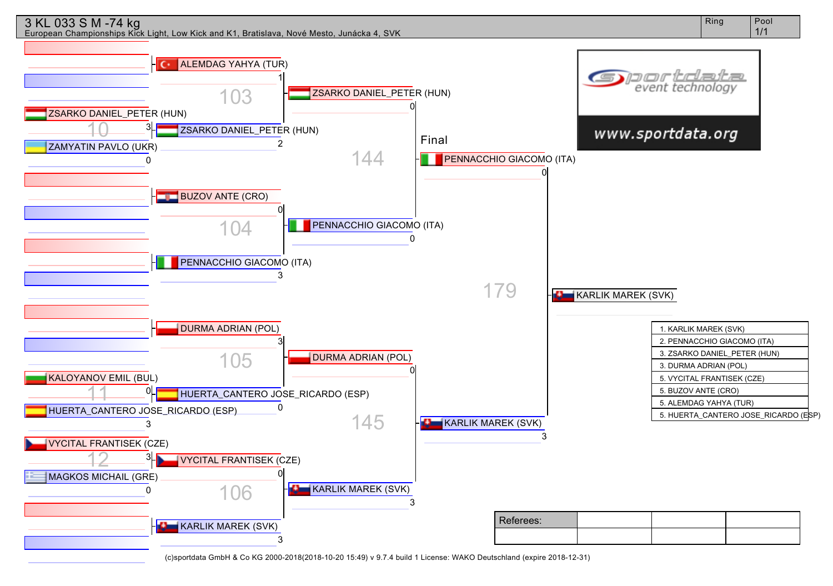

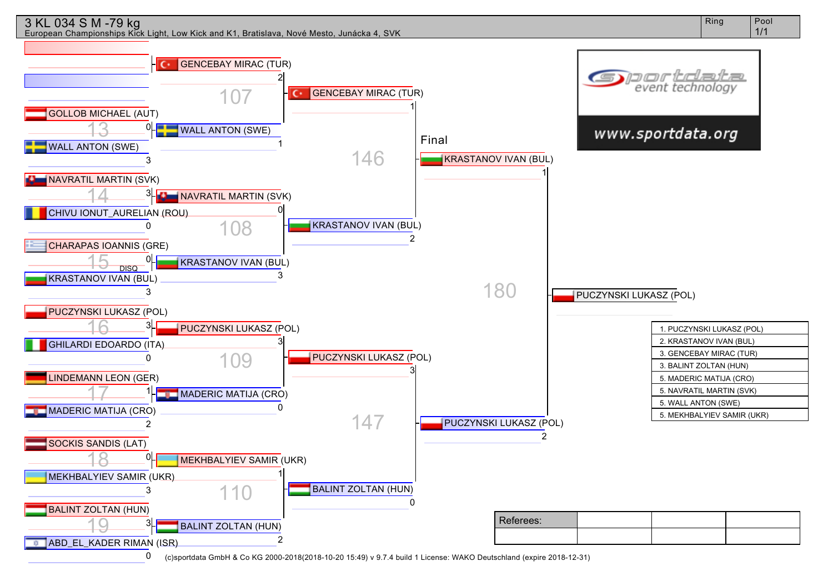

European Championships Kick Light, Low Kick and K1, Bratislava, Nové Mesto, Junácka 4, SVK

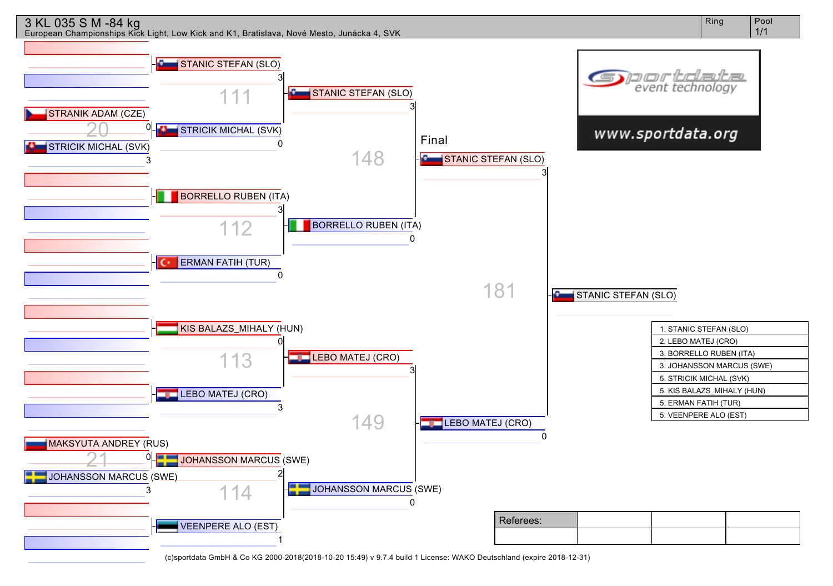

European Championships Kick Light, Low Kick and K1, Bratislava, Nové Mesto, Junácka 4, SVK

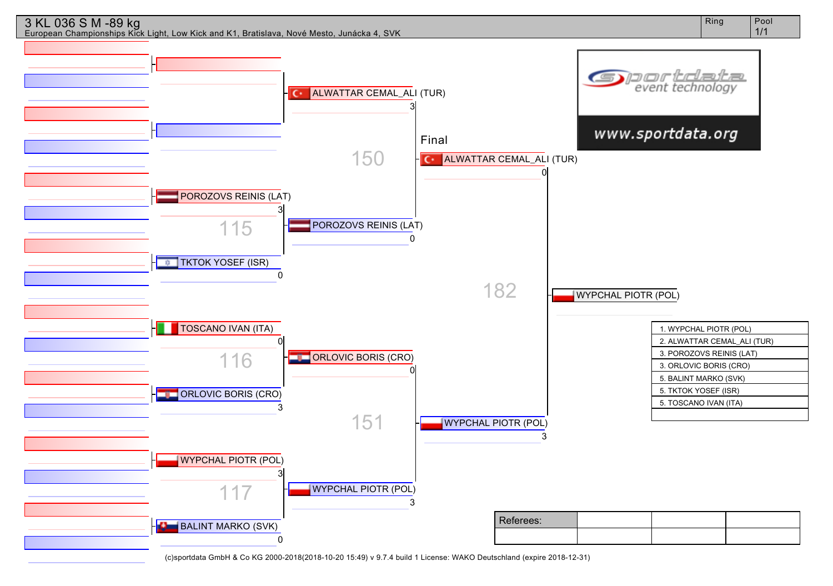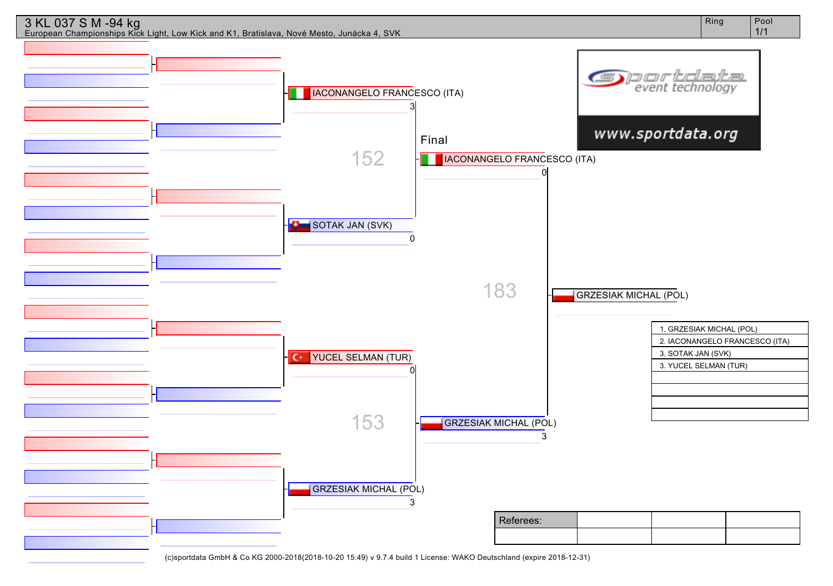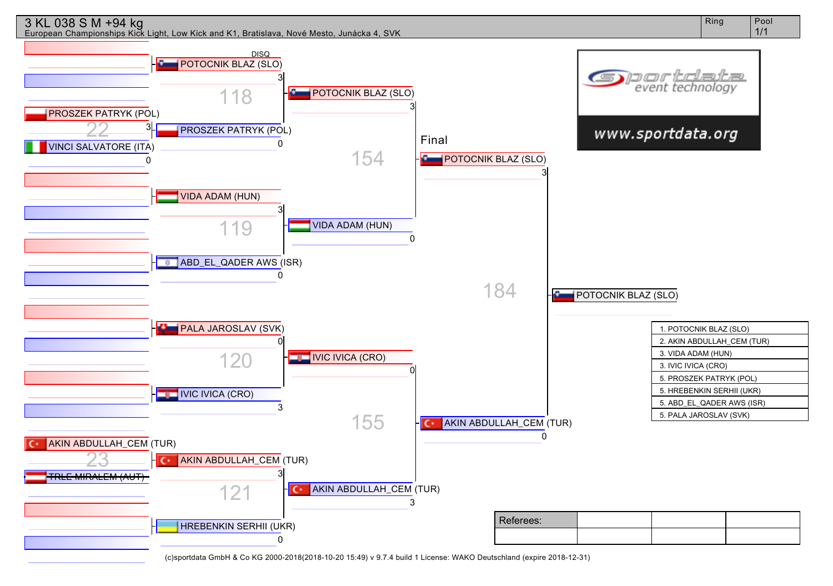

Ring | Pool 1/1

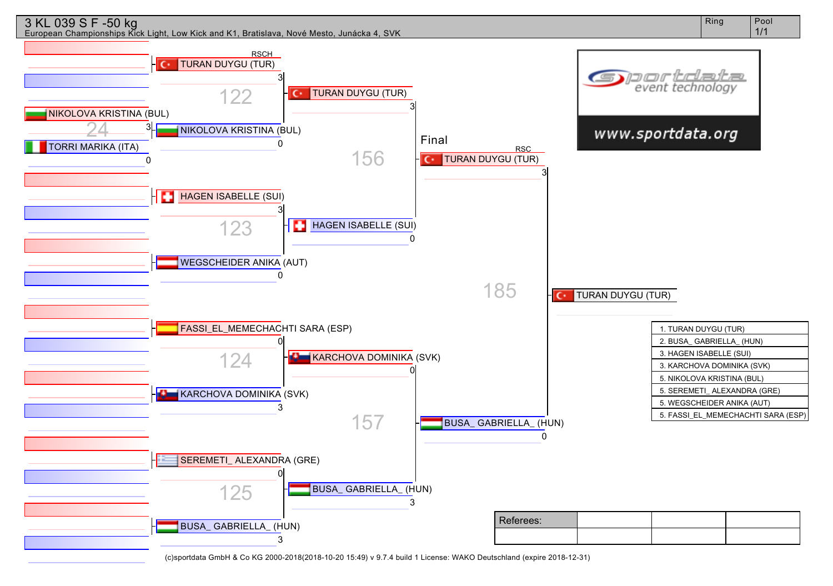

European Championships Kick Light, Low Kick and K1, Bratislava, Nové Mesto, Junácka 4, SVK

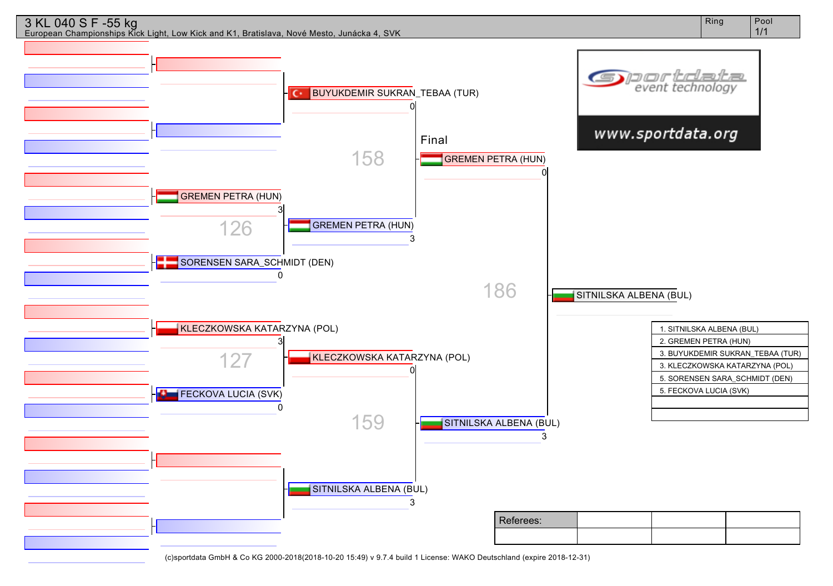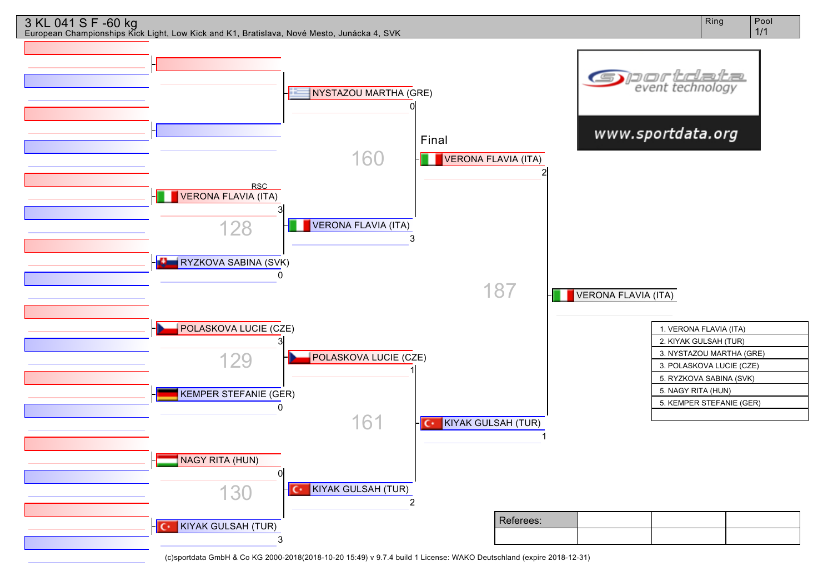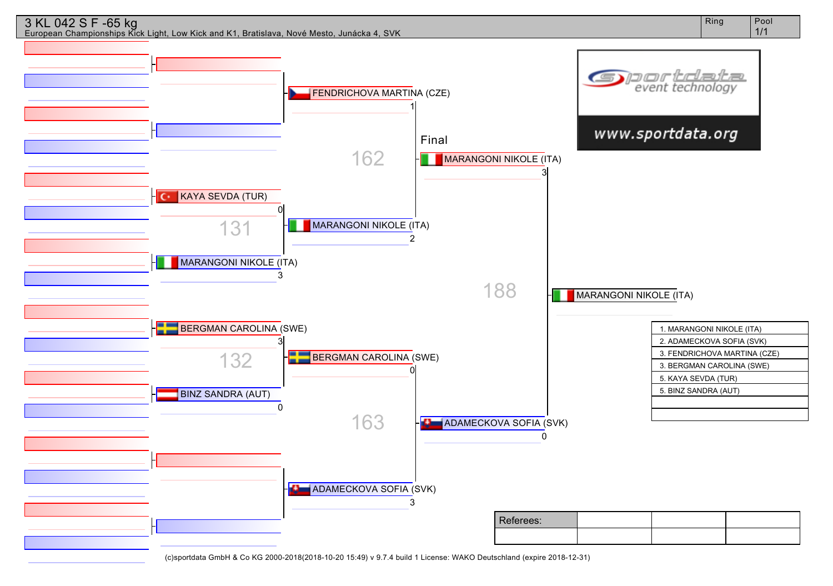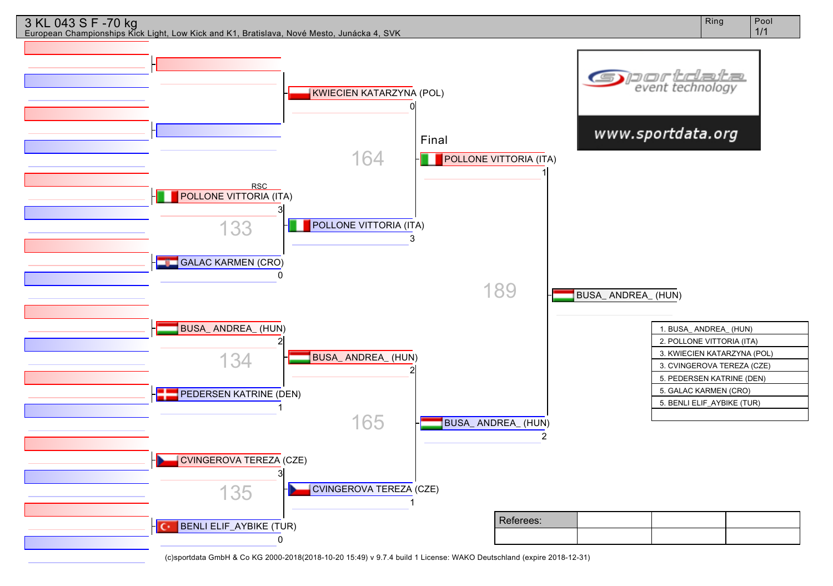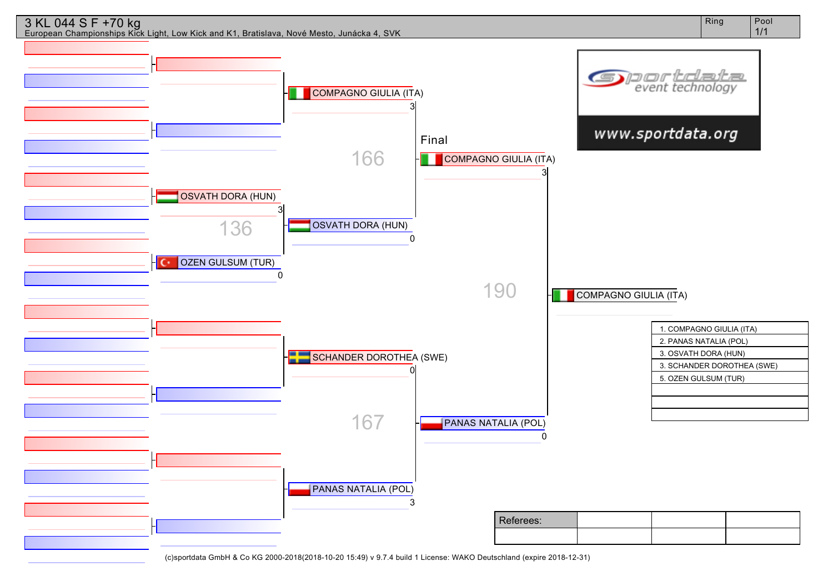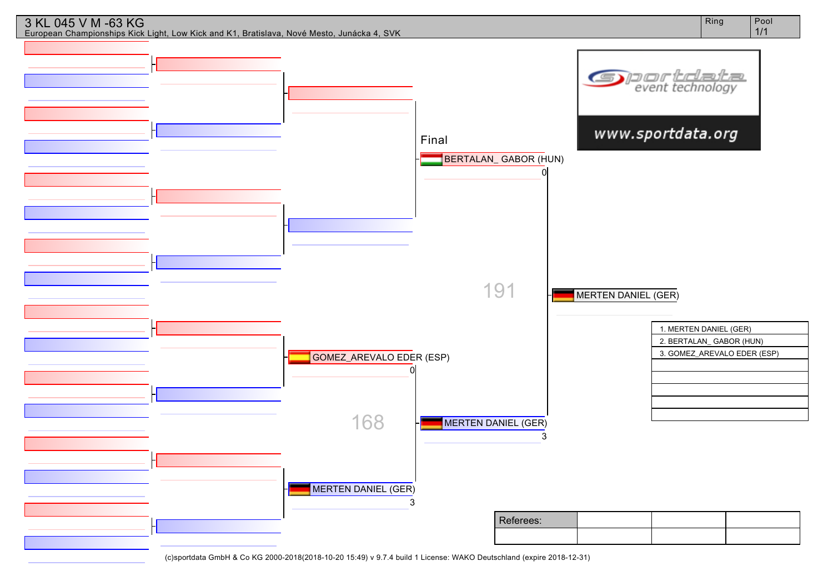

3 KL 045 V M -63 KG

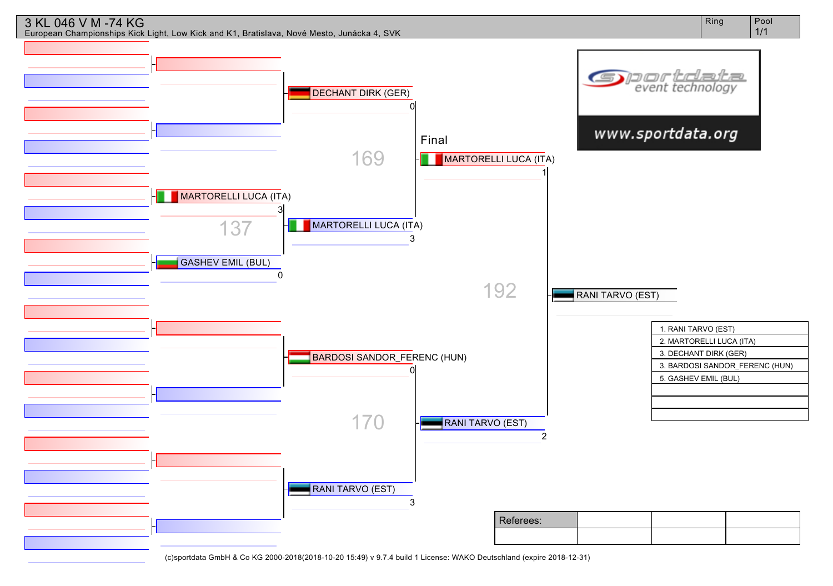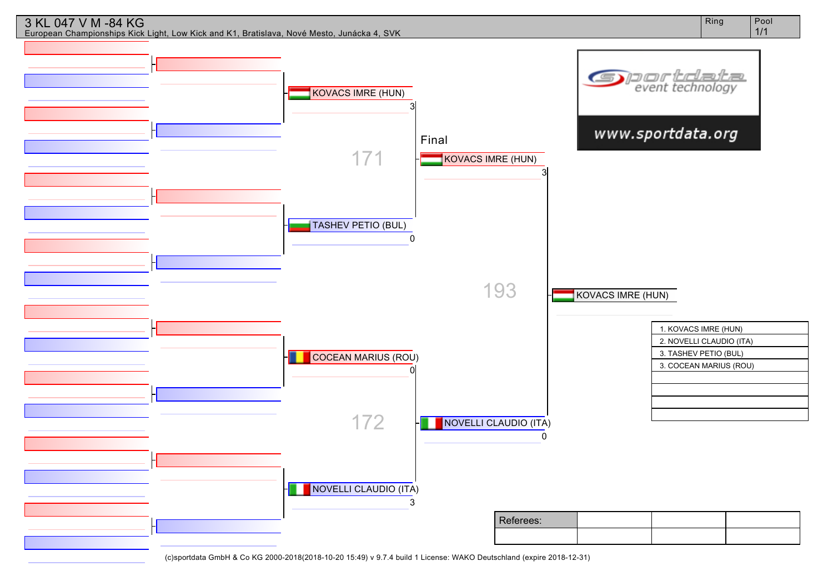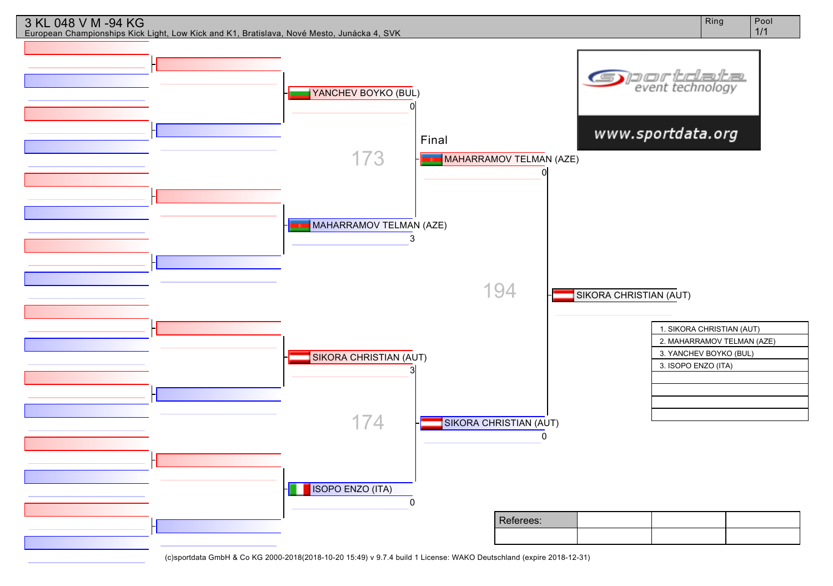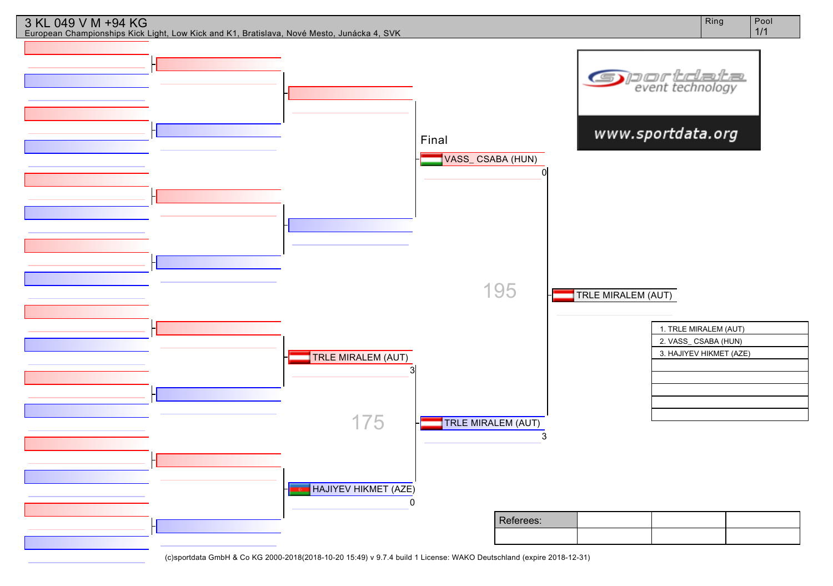

3 KL 049 V M +94 KG